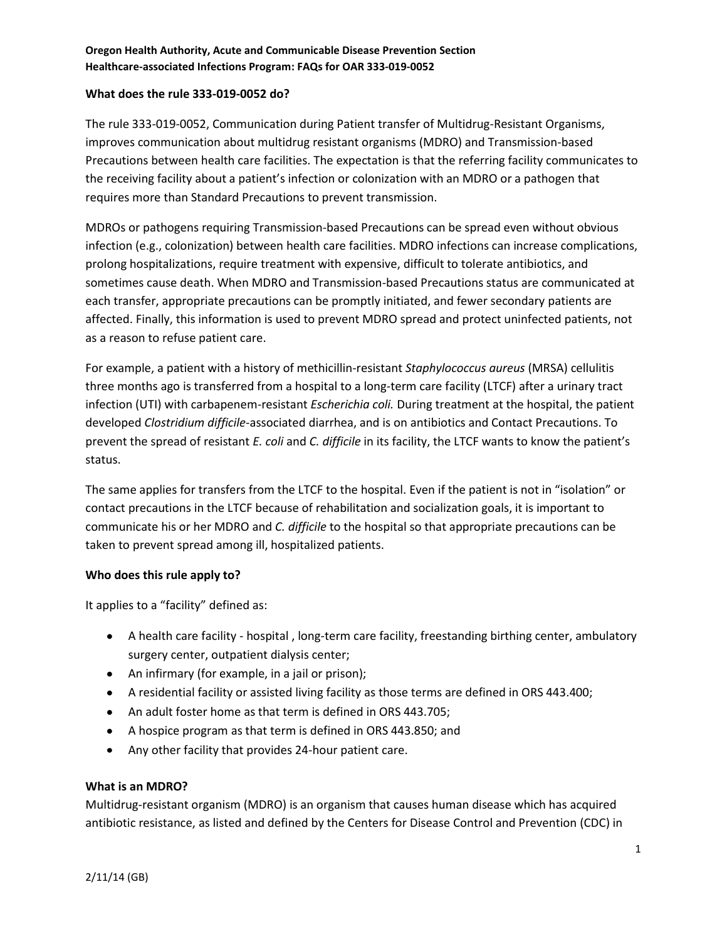#### **What does the rule 333-019-0052 do?**

The rule 333-019-0052, Communication during Patient transfer of Multidrug-Resistant Organisms, improves communication about multidrug resistant organisms (MDRO) and Transmission-based Precautions between health care facilities. The expectation is that the referring facility communicates to the receiving facility about a patient's infection or colonization with an MDRO or a pathogen that requires more than Standard Precautions to prevent transmission.

MDROs or pathogens requiring Transmission-based Precautions can be spread even without obvious infection (e.g., colonization) between health care facilities. MDRO infections can increase complications, prolong hospitalizations, require treatment with expensive, difficult to tolerate antibiotics, and sometimes cause death. When MDRO and Transmission-based Precautions status are communicated at each transfer, appropriate precautions can be promptly initiated, and fewer secondary patients are affected. Finally, this information is used to prevent MDRO spread and protect uninfected patients, not as a reason to refuse patient care.

For example, a patient with a history of methicillin-resistant *Staphylococcus aureus* (MRSA) cellulitis three months ago is transferred from a hospital to a long-term care facility (LTCF) after a urinary tract infection (UTI) with carbapenem-resistant *Escherichia coli.* During treatment at the hospital, the patient developed *Clostridium difficile*-associated diarrhea, and is on antibiotics and Contact Precautions. To prevent the spread of resistant *E. coli* and *C. difficile* in its facility, the LTCF wants to know the patient's status.

The same applies for transfers from the LTCF to the hospital. Even if the patient is not in "isolation" or contact precautions in the LTCF because of rehabilitation and socialization goals, it is important to communicate his or her MDRO and *C. difficile* to the hospital so that appropriate precautions can be taken to prevent spread among ill, hospitalized patients.

## **Who does this rule apply to?**

It applies to a "facility" defined as:

- A health care facility hospital , long-term care facility, freestanding birthing center, ambulatory surgery center, outpatient dialysis center;
- An infirmary (for example, in a jail or prison);
- A residential facility or assisted living facility as those terms are defined in ORS 443.400;
- An adult foster home as that term is defined in ORS 443.705;
- A hospice program as that term is defined in ORS 443.850; and
- Any other facility that provides 24-hour patient care.

## **What is an MDRO?**

Multidrug-resistant organism (MDRO) is an organism that causes human disease which has acquired antibiotic resistance, as listed and defined by the Centers for Disease Control and Prevention (CDC) in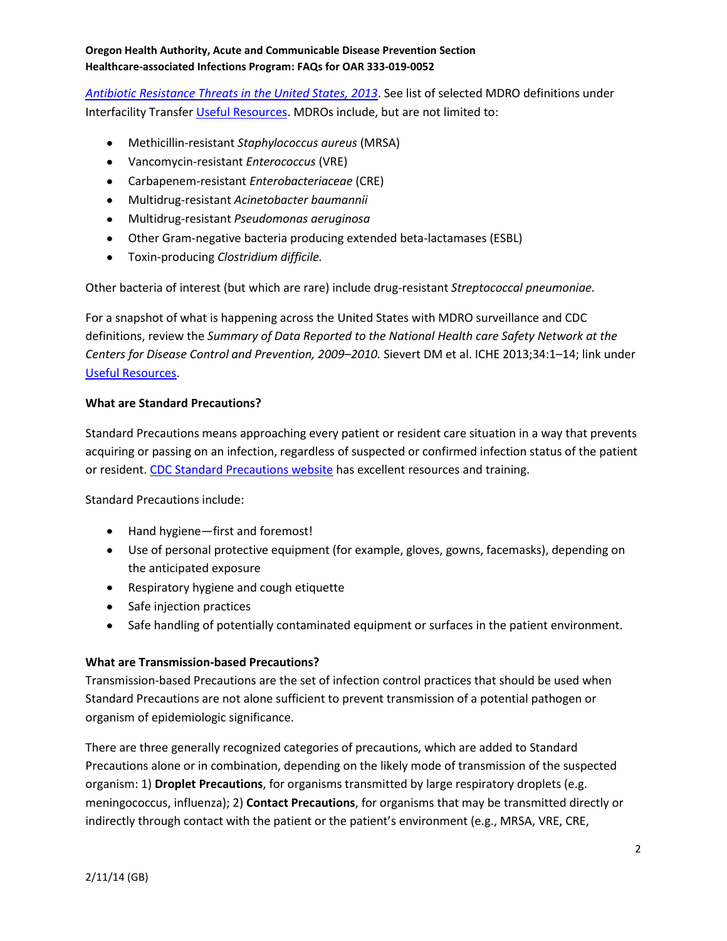*[Antibiotic Resistance Threats in the United States, 2013](http://www.cdc.gov/drugresistance/threat-report-2013/pdf/ar-threats-2013-508.pdf)*. See list of selected MDRO definitions under Interfacility Transfer [Useful Resources.](http://public.health.oregon.gov/DiseasesConditions/CommunicableDisease/HAI/Pages/Interfacility-Communication.aspx) MDROs include, but are not limited to:

- Methicillin-resistant *Staphylococcus aureus* (MRSA)
- Vancomycin-resistant *Enterococcus* (VRE)
- Carbapenem-resistant *Enterobacteriaceae* (CRE)
- Multidrug-resistant *Acinetobacter baumannii*
- Multidrug-resistant *Pseudomonas aeruginosa*
- Other Gram-negative bacteria producing extended beta-lactamases (ESBL)
- Toxin-producing *Clostridium difficile.*

Other bacteria of interest (but which are rare) include drug-resistant *Streptococcal pneumoniae.*

For a snapshot of what is happening across the United States with MDRO surveillance and CDC definitions, review the *Summary of Data Reported to the National Health care Safety Network at the Centers for Disease Control and Prevention, 2009–2010.* Sievert DM et al. ICHE 2013;34:1–14; link under [Useful Resources.](http://public.health.oregon.gov/DiseasesConditions/CommunicableDisease/HAI/Pages/Interfacility-Communication.aspx)

# **What are Standard Precautions?**

Standard Precautions means approaching every patient or resident care situation in a way that prevents acquiring or passing on an infection, regardless of suspected or confirmed infection status of the patient or resident. [CDC Standard Precautions website](http://www.cdc.gov/HAI/settings/outpatient/basic-infection-control-prevention-plan-2011/standard-precautions.html) has excellent resources and training.

Standard Precautions include:

- Hand hygiene—first and foremost!
- Use of personal protective equipment (for example, gloves, gowns, facemasks), depending on the anticipated exposure
- Respiratory hygiene and cough etiquette
- Safe injection practices
- Safe handling of potentially contaminated equipment or surfaces in the patient environment.

## **What are Transmission-based Precautions?**

Transmission-based Precautions are the set of infection control practices that should be used when Standard Precautions are not alone sufficient to prevent transmission of a potential pathogen or organism of epidemiologic significance.

There are three generally recognized categories of precautions, which are added to Standard Precautions alone or in combination, depending on the likely mode of transmission of the suspected organism: 1) **Droplet Precautions**, for organisms transmitted by large respiratory droplets (e.g. meningococcus, influenza); 2) **Contact Precautions**, for organisms that may be transmitted directly or indirectly through contact with the patient or the patient's environment (e.g., MRSA, VRE, CRE,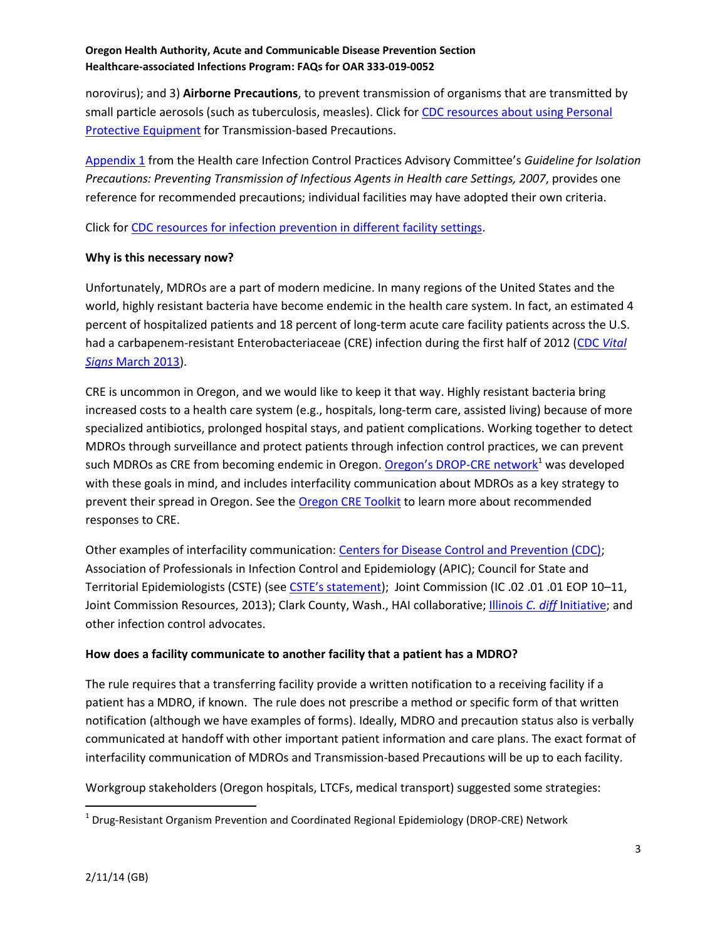norovirus); and 3) **Airborne Precautions**, to prevent transmission of organisms that are transmitted by small particle aerosols (such as tuberculosis, measles). Click for [CDC resources about using Personal](http://www.cdc.gov/HAI/prevent/ppe.html)  [Protective Equipment](http://www.cdc.gov/HAI/prevent/ppe.html) for Transmission-based Precautions.

[Appendix 1](http://www.cdc.gov/hicpac/2007ip/2007ip_appenda.html) from the Health care Infection Control Practices Advisory Committee's *Guideline for Isolation Precautions: Preventing Transmission of Infectious Agents in Health care Settings, 2007*, provides one reference for recommended precautions; individual facilities may have adopted their own criteria.

Click fo[r CDC resources for infection prevention in different facility settings.](http://www.cdc.gov/HAI/prevent/prevention.html)

# **Why is this necessary now?**

Unfortunately, MDROs are a part of modern medicine. In many regions of the United States and the world, highly resistant bacteria have become endemic in the health care system. In fact, an estimated 4 percent of hospitalized patients and 18 percent of long-term acute care facility patients across the U.S. had a carbapenem-resistant Enterobacteriaceae (CRE) infection during the first half of 2012 [\(CDC](http://www.cdc.gov/stltpublichealth/townhall/presentations/2013/vs_march.pdf) *Vital Signs* [March 2013\)](http://www.cdc.gov/stltpublichealth/townhall/presentations/2013/vs_march.pdf).

CRE is uncommon in Oregon, and we would like to keep it that way. Highly resistant bacteria bring increased costs to a health care system (e.g., hospitals, long-term care, assisted living) because of more specialized antibiotics, prolonged hospital stays, and patient complications. Working together to detect MDROs through surveillance and protect patients through infection control practices, we can prevent such MDROs as CRE from becoming endemic in Oregon. [Oregon's DROP](http://public.health.oregon.gov/DiseasesConditions/CommunicableDisease/CDSummaryNewsletter/Documents/2013/ohd6209.pdf)-CRE network<sup>1</sup> was developed with these goals in mind, and includes interfacility communication about MDROs as a key strategy to prevent their spread in Oregon. See th[e Oregon CRE Toolkit](http://public.health.oregon.gov/DiseasesConditions/DiseasesAZ/CRE/Documents/cre_toolkit.pdf) to learn more about recommended responses to CRE.

Other examples of interfacility communication[: Centers for Disease Control and Prevention \(CDC\);](http://www.cdc.gov/HAI/toolkits/InterfacilityTransferCommunicationForm11-2010.pdf) Association of Professionals in Infection Control and Epidemiology (APIC); Council for State and Territorial Epidemiologists (CSTE) (see [CSTE's statement](http://c.ymcdn.com/sites/www.cste.org/resource/resmgr/PS/13-ID-09.pdf)); Joint Commission (IC .02 .01 .01 EOP 10-11, Joint Commission Resources, 2013); Clark County, Wash., HAI collaborative; Illinois *C. diff* [Initiative;](http://www.idph.state.il.us/patientsafety/ice_backgrnd.htm) and other infection control advocates.

## **How does a facility communicate to another facility that a patient has a MDRO?**

The rule requires that a transferring facility provide a written notification to a receiving facility if a patient has a MDRO, if known. The rule does not prescribe a method or specific form of that written notification (although we have examples of forms). Ideally, MDRO and precaution status also is verbally communicated at handoff with other important patient information and care plans. The exact format of interfacility communication of MDROs and Transmission-based Precautions will be up to each facility.

Workgroup stakeholders (Oregon hospitals, LTCFs, medical transport) suggested some strategies:

 $\overline{\phantom{a}}$ 

<sup>&</sup>lt;sup>1</sup> Drug-Resistant Organism Prevention and Coordinated Regional Epidemiology (DROP-CRE) Network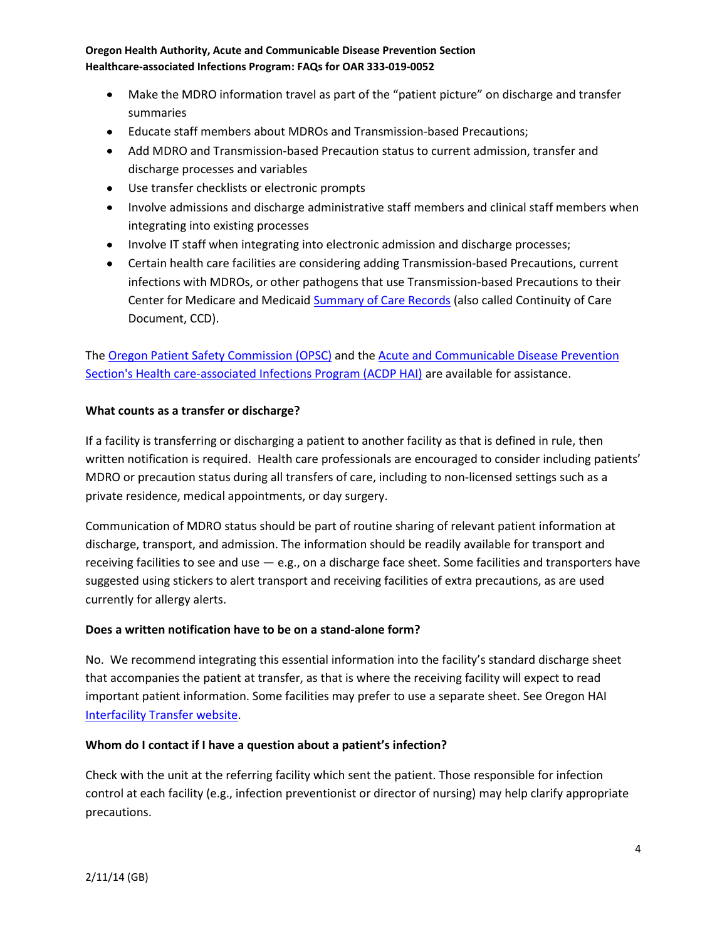- Make the MDRO information travel as part of the "patient picture" on discharge and transfer summaries
- Educate staff members about MDROs and Transmission-based Precautions;
- Add MDRO and Transmission-based Precaution status to current admission, transfer and discharge processes and variables
- Use transfer checklists or electronic prompts
- Involve admissions and discharge administrative staff members and clinical staff members when integrating into existing processes
- Involve IT staff when integrating into electronic admission and discharge processes;
- Certain health care facilities are considering adding Transmission-based Precautions, current infections with MDROs, or other pathogens that use Transmission-based Precautions to their Center for Medicare and Medicaid **Summary of Care Records** (also called Continuity of Care Document, CCD).

The [Oregon Patient Safety Commission \(OPSC\)](http://www.oregonpatientsafety.org/) and the Acute and Communicable Disease Prevention [Section's Health care-associated Infections Program \(ACDP HAI\)](http://public.health.oregon.gov/DiseasesConditions/CommunicableDisease/HAI/Pages/index.aspx) are available for assistance.

## **What counts as a transfer or discharge?**

If a facility is transferring or discharging a patient to another facility as that is defined in rule, then written notification is required. Health care professionals are encouraged to consider including patients' MDRO or precaution status during all transfers of care, including to non-licensed settings such as a private residence, medical appointments, or day surgery.

Communication of MDRO status should be part of routine sharing of relevant patient information at discharge, transport, and admission. The information should be readily available for transport and receiving facilities to see and use  $-$  e.g., on a discharge face sheet. Some facilities and transporters have suggested using stickers to alert transport and receiving facilities of extra precautions, as are used currently for allergy alerts.

# **Does a written notification have to be on a stand-alone form?**

No. We recommend integrating this essential information into the facility's standard discharge sheet that accompanies the patient at transfer, as that is where the receiving facility will expect to read important patient information. Some facilities may prefer to use a separate sheet. See Oregon HAI [Interfacility Transfer website.](http://public.health.oregon.gov/DiseasesConditions/CommunicableDisease/HAI/Pages/Interfacility-Communication.aspx)

## **Whom do I contact if I have a question about a patient's infection?**

Check with the unit at the referring facility which sent the patient. Those responsible for infection control at each facility (e.g., infection preventionist or director of nursing) may help clarify appropriate precautions.